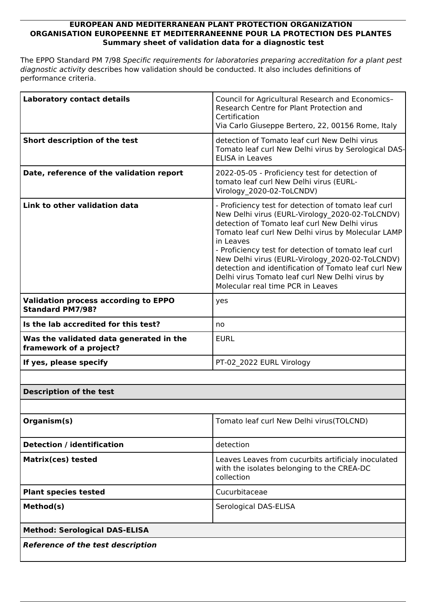## **EUROPEAN AND MEDITERRANEAN PLANT PROTECTION ORGANIZATION ORGANISATION EUROPEENNE ET MEDITERRANEENNE POUR LA PROTECTION DES PLANTES Summary sheet of validation data for a diagnostic test**

The EPPO Standard PM 7/98 *Specific requirements for laboratories preparing accreditation for a plant pest diagnostic activity* describes how validation should be conducted. It also includes definitions of performance criteria.

| <b>Laboratory contact details</b>                                      | Council for Agricultural Research and Economics-<br>Research Centre for Plant Protection and<br>Certification<br>Via Carlo Giuseppe Bertero, 22, 00156 Rome, Italy                                                                                                                                                                                                                                                                                                                     |  |
|------------------------------------------------------------------------|----------------------------------------------------------------------------------------------------------------------------------------------------------------------------------------------------------------------------------------------------------------------------------------------------------------------------------------------------------------------------------------------------------------------------------------------------------------------------------------|--|
| Short description of the test                                          | detection of Tomato leaf curl New Delhi virus<br>Tomato leaf curl New Delhi virus by Serological DAS-<br><b>ELISA in Leaves</b>                                                                                                                                                                                                                                                                                                                                                        |  |
| Date, reference of the validation report                               | 2022-05-05 - Proficiency test for detection of<br>tomato leaf curl New Delhi virus (EURL-<br>Virology 2020-02-ToLCNDV)                                                                                                                                                                                                                                                                                                                                                                 |  |
| Link to other validation data                                          | - Proficiency test for detection of tomato leaf curl<br>New Delhi virus (EURL-Virology 2020-02-ToLCNDV)<br>detection of Tomato leaf curl New Delhi virus<br>Tomato leaf curl New Delhi virus by Molecular LAMP<br>in Leaves<br>- Proficiency test for detection of tomato leaf curl<br>New Delhi virus (EURL-Virology 2020-02-ToLCNDV)<br>detection and identification of Tomato leaf curl New<br>Delhi virus Tomato leaf curl New Delhi virus by<br>Molecular real time PCR in Leaves |  |
| <b>Validation process according to EPPO</b><br><b>Standard PM7/98?</b> | yes                                                                                                                                                                                                                                                                                                                                                                                                                                                                                    |  |
| Is the lab accredited for this test?                                   | no                                                                                                                                                                                                                                                                                                                                                                                                                                                                                     |  |
| Was the validated data generated in the<br>framework of a project?     | <b>EURL</b>                                                                                                                                                                                                                                                                                                                                                                                                                                                                            |  |
| If yes, please specify                                                 | PT-02 2022 EURL Virology                                                                                                                                                                                                                                                                                                                                                                                                                                                               |  |
|                                                                        |                                                                                                                                                                                                                                                                                                                                                                                                                                                                                        |  |
| <b>Description of the test</b>                                         |                                                                                                                                                                                                                                                                                                                                                                                                                                                                                        |  |
|                                                                        |                                                                                                                                                                                                                                                                                                                                                                                                                                                                                        |  |
| Organism(s)                                                            | Tomato leaf curl New Delhi virus (TOLCND)                                                                                                                                                                                                                                                                                                                                                                                                                                              |  |
| <b>Detection / identification</b>                                      | detection                                                                                                                                                                                                                                                                                                                                                                                                                                                                              |  |
| <b>Matrix(ces) tested</b>                                              | Leaves Leaves from cucurbits artificialy inoculated<br>with the isolates belonging to the CREA-DC<br>collection                                                                                                                                                                                                                                                                                                                                                                        |  |
| <b>Plant species tested</b>                                            | Cucurbitaceae                                                                                                                                                                                                                                                                                                                                                                                                                                                                          |  |
| Method(s)                                                              | Serological DAS-ELISA                                                                                                                                                                                                                                                                                                                                                                                                                                                                  |  |
| <b>Method: Serological DAS-ELISA</b>                                   |                                                                                                                                                                                                                                                                                                                                                                                                                                                                                        |  |
| <b>Reference of the test description</b>                               |                                                                                                                                                                                                                                                                                                                                                                                                                                                                                        |  |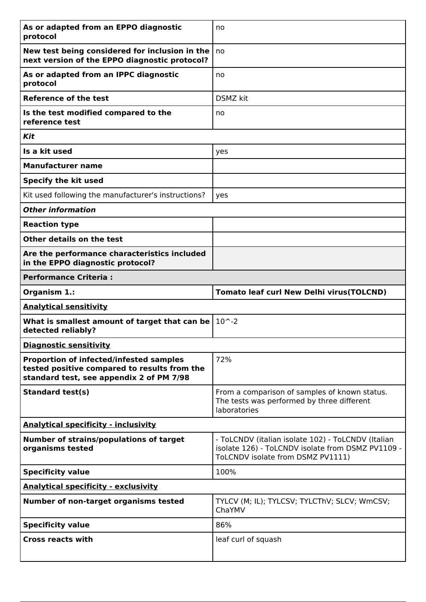| As or adapted from an EPPO diagnostic<br>protocol                                                                                          | no                                                                                                                                           |
|--------------------------------------------------------------------------------------------------------------------------------------------|----------------------------------------------------------------------------------------------------------------------------------------------|
| New test being considered for inclusion in the<br>next version of the EPPO diagnostic protocol?                                            | no                                                                                                                                           |
| As or adapted from an IPPC diagnostic<br>protocol                                                                                          | no                                                                                                                                           |
| <b>Reference of the test</b>                                                                                                               | <b>DSMZ</b> kit                                                                                                                              |
| Is the test modified compared to the<br>reference test                                                                                     | no                                                                                                                                           |
| Kit                                                                                                                                        |                                                                                                                                              |
| Is a kit used                                                                                                                              | yes                                                                                                                                          |
| <b>Manufacturer name</b>                                                                                                                   |                                                                                                                                              |
| <b>Specify the kit used</b>                                                                                                                |                                                                                                                                              |
| Kit used following the manufacturer's instructions?                                                                                        | yes                                                                                                                                          |
| <b>Other information</b>                                                                                                                   |                                                                                                                                              |
| <b>Reaction type</b>                                                                                                                       |                                                                                                                                              |
| Other details on the test                                                                                                                  |                                                                                                                                              |
| Are the performance characteristics included<br>in the EPPO diagnostic protocol?                                                           |                                                                                                                                              |
| <b>Performance Criteria:</b>                                                                                                               |                                                                                                                                              |
| Organism 1.:                                                                                                                               | <b>Tomato leaf curl New Delhi virus (TOLCND)</b>                                                                                             |
|                                                                                                                                            |                                                                                                                                              |
| <b>Analytical sensitivity</b>                                                                                                              |                                                                                                                                              |
| What is smallest amount of target that can be $ $<br>detected reliably?                                                                    | $10^{\sim}.2$                                                                                                                                |
| <b>Diagnostic sensitivity</b>                                                                                                              |                                                                                                                                              |
| <b>Proportion of infected/infested samples</b><br>tested positive compared to results from the<br>standard test, see appendix 2 of PM 7/98 | 72%                                                                                                                                          |
| <b>Standard test(s)</b>                                                                                                                    | From a comparison of samples of known status.<br>The tests was performed by three different<br>laboratories                                  |
| <b>Analytical specificity - inclusivity</b>                                                                                                |                                                                                                                                              |
| <b>Number of strains/populations of target</b><br>organisms tested                                                                         | - ToLCNDV (italian isolate 102) - ToLCNDV (Italian<br>isolate 126) - ToLCNDV isolate from DSMZ PV1109 -<br>ToLCNDV isolate from DSMZ PV1111) |
| <b>Specificity value</b>                                                                                                                   | 100%                                                                                                                                         |
| <b>Analytical specificity - exclusivity</b>                                                                                                |                                                                                                                                              |
| <b>Number of non-target organisms tested</b>                                                                                               | TYLCV (M; IL); TYLCSV; TYLCThV; SLCV; WmCSV;<br>ChaYMV                                                                                       |
| <b>Specificity value</b>                                                                                                                   | 86%                                                                                                                                          |